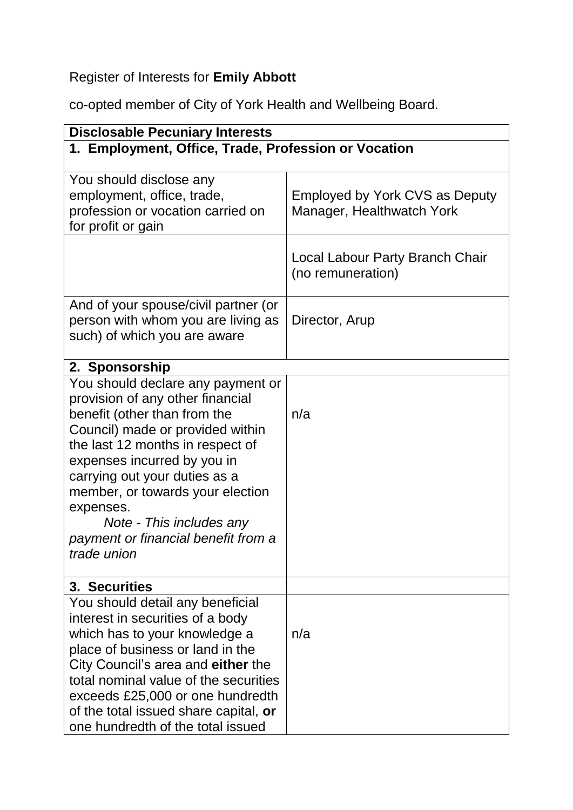## Register of Interests for **Emily Abbott**

co-opted member of City of York Health and Wellbeing Board.

| <b>Disclosable Pecuniary Interests</b>                                                                                                                                                                                                                                                                                                                                           |                                                             |  |
|----------------------------------------------------------------------------------------------------------------------------------------------------------------------------------------------------------------------------------------------------------------------------------------------------------------------------------------------------------------------------------|-------------------------------------------------------------|--|
| 1. Employment, Office, Trade, Profession or Vocation                                                                                                                                                                                                                                                                                                                             |                                                             |  |
| You should disclose any<br>employment, office, trade,<br>profession or vocation carried on<br>for profit or gain                                                                                                                                                                                                                                                                 | Employed by York CVS as Deputy<br>Manager, Healthwatch York |  |
|                                                                                                                                                                                                                                                                                                                                                                                  | Local Labour Party Branch Chair<br>(no remuneration)        |  |
| And of your spouse/civil partner (or<br>person with whom you are living as<br>such) of which you are aware                                                                                                                                                                                                                                                                       | Director, Arup                                              |  |
| 2. Sponsorship                                                                                                                                                                                                                                                                                                                                                                   |                                                             |  |
| You should declare any payment or<br>provision of any other financial<br>benefit (other than from the<br>Council) made or provided within<br>the last 12 months in respect of<br>expenses incurred by you in<br>carrying out your duties as a<br>member, or towards your election<br>expenses.<br>Note - This includes any<br>payment or financial benefit from a<br>trade union | n/a                                                         |  |
| 3. Securities                                                                                                                                                                                                                                                                                                                                                                    |                                                             |  |
| You should detail any beneficial<br>interest in securities of a body<br>which has to your knowledge a<br>place of business or land in the<br>City Council's area and either the<br>total nominal value of the securities<br>exceeds £25,000 or one hundredth<br>of the total issued share capital, or<br>one hundredth of the total issued                                       | n/a                                                         |  |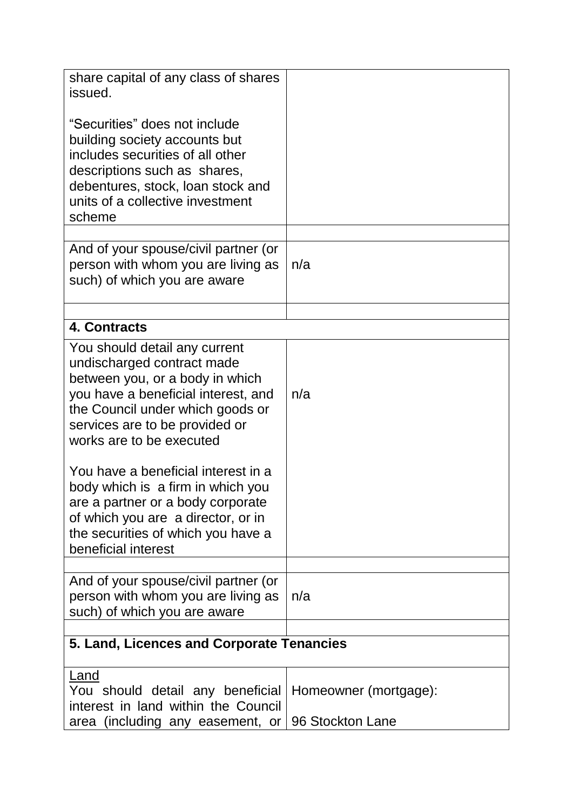| share capital of any class of shares<br>issued.                                                                                                                                                                                         |                       |  |
|-----------------------------------------------------------------------------------------------------------------------------------------------------------------------------------------------------------------------------------------|-----------------------|--|
| "Securities" does not include<br>building society accounts but<br>includes securities of all other<br>descriptions such as shares,<br>debentures, stock, loan stock and<br>units of a collective investment<br>scheme                   |                       |  |
| And of your spouse/civil partner (or<br>person with whom you are living as<br>such) of which you are aware                                                                                                                              | n/a                   |  |
| 4. Contracts                                                                                                                                                                                                                            |                       |  |
|                                                                                                                                                                                                                                         |                       |  |
| You should detail any current<br>undischarged contract made<br>between you, or a body in which<br>you have a beneficial interest, and<br>the Council under which goods or<br>services are to be provided or<br>works are to be executed | n/a                   |  |
| You have a beneficial interest in a<br>body which is a firm in which you<br>are a partner or a body corporate<br>of which you are a director, or in<br>the securities of which you have a<br>beneficial interest                        |                       |  |
|                                                                                                                                                                                                                                         |                       |  |
| And of your spouse/civil partner (or<br>person with whom you are living as<br>such) of which you are aware                                                                                                                              | n/a                   |  |
| 5. Land, Licences and Corporate Tenancies                                                                                                                                                                                               |                       |  |
|                                                                                                                                                                                                                                         |                       |  |
| Land<br>You should detail any beneficial<br>interest in land within the Council                                                                                                                                                         | Homeowner (mortgage): |  |
| area (including any easement, or                                                                                                                                                                                                        | 96 Stockton Lane      |  |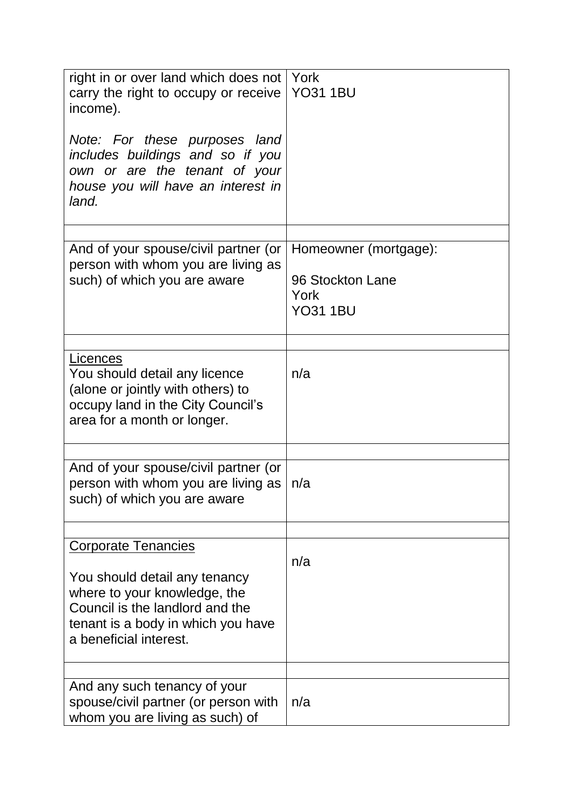| right in or over land which does not   York<br>carry the right to occupy or receive<br>income).<br>Note: For these purposes land<br>includes buildings and so if you<br>own or are the tenant of your<br>house you will have an interest in<br>land. | <b>YO31 1BU</b>                                                      |
|------------------------------------------------------------------------------------------------------------------------------------------------------------------------------------------------------------------------------------------------------|----------------------------------------------------------------------|
| And of your spouse/civil partner (or<br>person with whom you are living as<br>such) of which you are aware                                                                                                                                           | Homeowner (mortgage):<br>96 Stockton Lane<br>York<br><b>YO31 1BU</b> |
| Licences<br>You should detail any licence<br>(alone or jointly with others) to<br>occupy land in the City Council's<br>area for a month or longer.                                                                                                   | n/a                                                                  |
| And of your spouse/civil partner (or<br>person with whom you are living as<br>such) of which you are aware                                                                                                                                           | n/a                                                                  |
| <b>Corporate Tenancies</b><br>You should detail any tenancy<br>where to your knowledge, the<br>Council is the landlord and the<br>tenant is a body in which you have<br>a beneficial interest.                                                       | n/a                                                                  |
| And any such tenancy of your<br>spouse/civil partner (or person with<br>whom you are living as such) of                                                                                                                                              | n/a                                                                  |